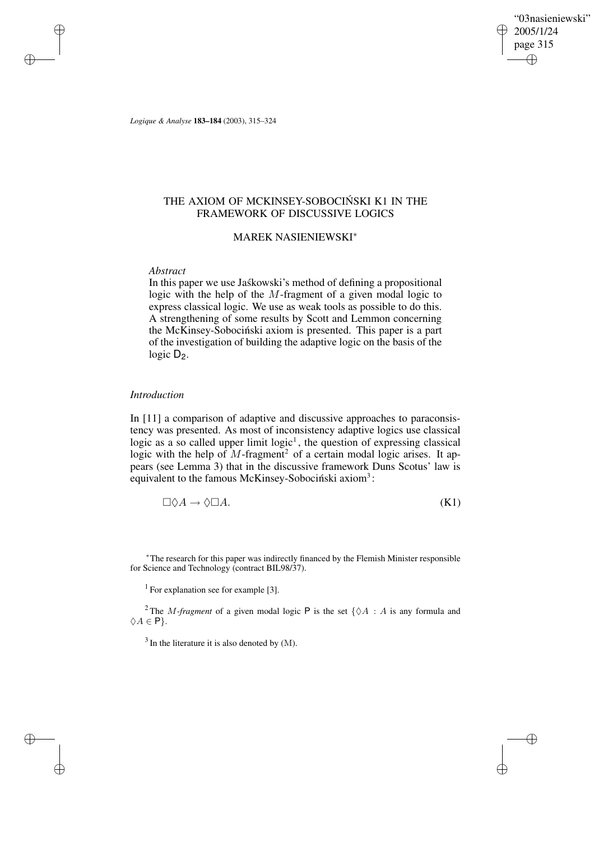"03nasieniewski" 2005/1/24 page 315 ✐ ✐

✐

✐

*Logique & Analyse* **183–184** (2003), 315–324

# THE AXIOM OF MCKINSEY-SOBOCIŃSKI K1 IN THE FRAMEWORK OF DISCUSSIVE LOGICS

# MAREK NASIENIEWSKI<sup>∗</sup>

### *Abstract*

✐

✐

✐

✐

In this paper we use Jaskowski's method of defining a propositional logic with the help of the M-fragment of a given modal logic to express classical logic. We use as weak tools as possible to do this. A strengthening of some results by Scott and Lemmon concerning the McKinsey-Sobociński axiom is presented. This paper is a part of the investigation of building the adaptive logic on the basis of the logic  $D_2$ .

### *Introduction*

In [11] a comparison of adaptive and discussive approaches to paraconsistency was presented. As most of inconsistency adaptive logics use classical logic as a so called upper limit  $logic<sup>1</sup>$ , the question of expressing classical logic with the help of  $M$ -fragment<sup>2</sup> of a certain modal logic arises. It appears (see Lemma 3) that in the discussive framework Duns Scotus' law is equivalent to the famous McKinsey-Sobociński axiom<sup>3</sup>:

$$
\Box \Diamond A \to \Diamond \Box A. \tag{K1}
$$

<sup>∗</sup>The research for this paper was indirectly financed by the Flemish Minister responsible for Science and Technology (contract BIL98/37).

<sup>1</sup> For explanation see for example [3].

<sup>2</sup>The *M-fragment* of a given modal logic  $P$  is the set { $\Diamond A : A$  is any formula and  $\Diamond A \in \mathsf{P}$ .

 $3$  In the literature it is also denoted by  $(M)$ .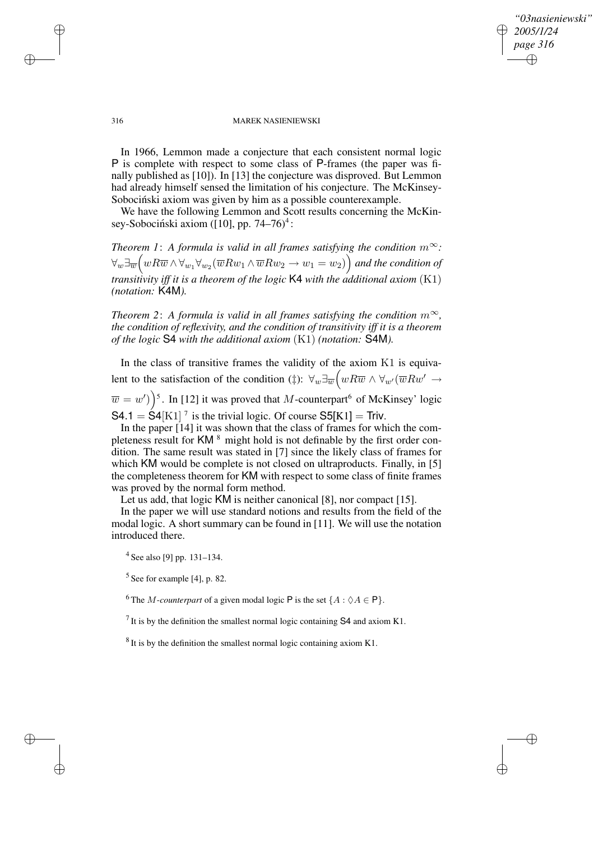### *"03nasieniewski" 2005/1/24 page 316* ✐ ✐

✐

✐

#### 316 MAREK NASIENIEWSKI

In 1966, Lemmon made a conjecture that each consistent normal logic P is complete with respect to some class of P-frames (the paper was finally published as [10]). In [13] the conjecture was disproved. But Lemmon had already himself sensed the limitation of his conjecture. The McKinsey-Sobociński axiom was given by him as a possible counterexample.

We have the following Lemmon and Scott results concerning the McKinsey-Sobociński axiom ([10], pp. 74–76)<sup>4</sup>:

*Theorem 1: A formula is valid in all frames satisfying the condition*  $m^{\infty}$ *:*  $\forall_w \exists_{\overline{w}} \big( w R \overline{w} \wedge \forall_{w_1} \forall_{w_2} (\overline{w} R w_1 \wedge \overline{w} R w_2 \to w_1=w_2) \big)$  and the condition of *transitivity iff it is a theorem of the logic* K4 *with the additional axiom* (K1) *(notation:* K4M*).*

*Theorem* 2: *A formula is valid in all frames satisfying the condition*  $m^{\infty}$ *, the condition of reflexivity, and the condition of transitivity iff it is a theorem of the logic* S4 *with the additional axiom* (K1) *(notation:* S4M*).*

In the class of transitive frames the validity of the axiom K1 is equivalent to the satisfaction of the condition (‡):  $\forall_w \exists_{\overline{w}} \big( w R \overline{w} \land \forall_{w'} (\overline{w} R w' \rightarrow$  $\overline{w} = w'$ )<sup>5</sup>. In [12] it was proved that M-counterpart<sup>6</sup> of McKinsey' logic  $S4.1 = S4[K1]$ <sup>7</sup> is the trivial logic. Of course  $S5[K1] = Triv$ .

In the paper [14] it was shown that the class of frames for which the completeness result for KM <sup>8</sup> might hold is not definable by the first order condition. The same result was stated in [7] since the likely class of frames for which KM would be complete is not closed on ultraproducts. Finally, in [5] the completeness theorem for KM with respect to some class of finite frames was proved by the normal form method.

Let us add, that logic KM is neither canonical [8], nor compact [15].

In the paper we will use standard notions and results from the field of the modal logic. A short summary can be found in [11]. We will use the notation introduced there.

<sup>4</sup> See also [9] pp. 131–134.

 $<sup>5</sup>$  See for example [4], p. 82.</sup>

<sup>6</sup>The *M*-counterpart of a given modal logic **P** is the set  $\{A : \Diamond A \in \mathbf{P}\}\$ .

<sup>7</sup> It is by the definition the smallest normal logic containing S4 and axiom K1.

 $8$  It is by the definition the smallest normal logic containing axiom K1.

✐

✐

✐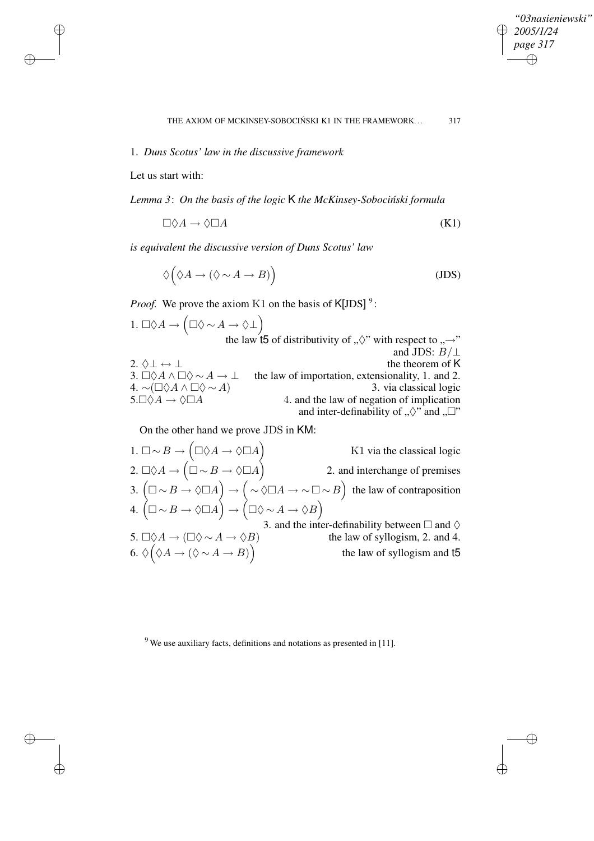$\bigoplus$ 

✐

### 1. *Duns Scotus' law in the discussive framework*

Let us start with:

✐

✐

✐

✐

*Lemma 3*: *On the basis of the logic* K *the McKinsey-Sobocinski ´ formula*

$$
\Box \Diamond A \to \Diamond \Box A \tag{K1}
$$

*is equivalent the discussive version of Duns Scotus' law*

$$
\Diamond \Big( \Diamond A \to (\Diamond \sim A \to B) \Big) \tag{JDS}
$$

*Proof.* We prove the axiom K1 on the basis of  $K[**IDS**]$ <sup>9</sup>:

1.  $\Box \Diamond A \to (\Box \Diamond \sim A \to \Diamond \bot)$ the law t5 of distributivity of  $\sqrt{N}$  with respect to  $\sqrt{N}$ and JDS:  $B/\perp$ 2.  $\Diamond \bot \leftrightarrow \bot$ <br>3.  $\Box \Diamond A \land \Box \Diamond \sim A \rightarrow \bot$  the law of importation, extensionality, 1. and 2. the law of importation, extensionality, 1. and 2. 4. ~( $\Box \Diamond A \land \Box \Diamond \sim A$ )<br>
5.  $\Box \Diamond A \rightarrow \Diamond \Box A$ <br>
4. and the law of negation of implication 4. and the law of negation of implication and inter-definability of  $\sqrt{N}$  and  $\sqrt{N}$ ".

On the other hand we prove JDS in KM:

1.  $\Box \sim B \rightarrow (\Box \Diamond A \rightarrow \Diamond \Box A)$ K1 via the classical logic 2.  $\Box \Diamond A \to (\Box \sim B \to \Diamond \Box A)$ 2. and interchange of premises 3.  $(\Box \sim B \to \Diamond \Box A) \to (\sim \Diamond \Box A \to \sim \Box \sim B)$  the law of contraposition 4.  $(\Box \sim B \rightarrow \Diamond \Box A) \rightarrow (\Box \Diamond \sim A \rightarrow \Diamond B)$ 3. and the inter-definability between  $\Box$  and  $\diamond$ 5.  $\Box \Diamond A \rightarrow (\Box \Diamond \sim A \rightarrow \Diamond B)$  the law of syllogism, 2. and 4. 6.  $\Diamond (\Diamond A \to (\Diamond \sim A \to B))$  the law of syllogism and t5

 $9$  We use auxiliary facts, definitions and notations as presented in [11].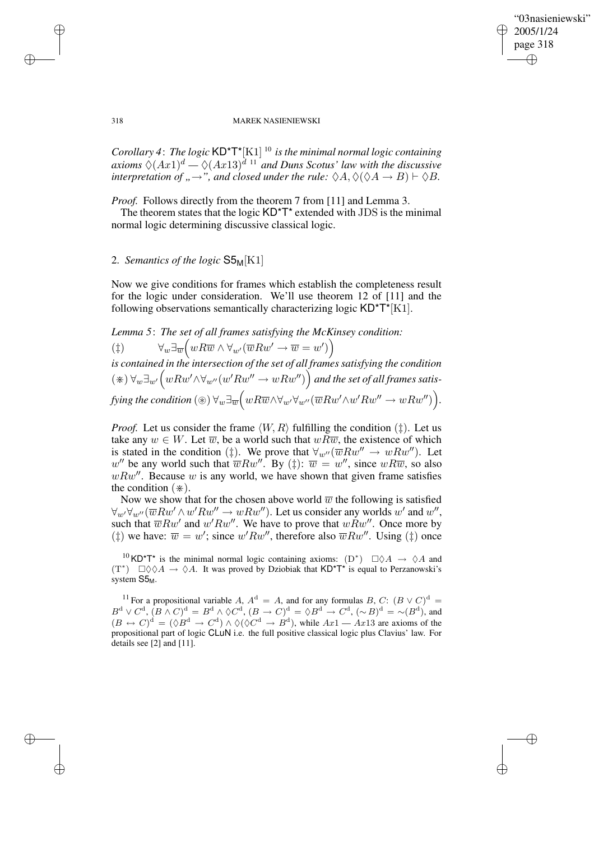✐

#### 318 MAREK NASIENIEWSKI

*Corollary 4*: *The logic* KD\*T\*[K1] <sup>10</sup> *is the minimal normal logic containing axioms*  $\Diamond (Ax1)^d - \Diamond (Ax13)^{d}$ <sup>11</sup> *and Duns Scotus' law with the discussive interpretation of "* $\rightarrow$ ", *and closed under the rule:*  $\Diamond A$ ,  $\Diamond (\Diamond A \rightarrow B) \vdash \Diamond B$ .

*Proof.* Follows directly from the theorem 7 from [11] and Lemma 3.

The theorem states that the logic  $KD^{\star}T^{\star}$  extended with JDS is the minimal normal logic determining discussive classical logic.

# 2. *Semantics of the logic* S5M[K1]

Now we give conditions for frames which establish the completeness result for the logic under consideration. We'll use theorem 12 of [11] and the following observations semantically characterizing logic  $KD^+T^*[K1]$ .

# *Lemma 5*: *The set of all frames satisfying the McKinsey condition:*

(†)  $\forall_w \exists_{\overline{w}} \big( w R \overline{w} \wedge \forall_{w'} (\overline{w} R w' \rightarrow \overline{w} = w') \big)$ *is contained in the intersection of the set of all frames satisfying the condition*  $(\divideontimes) \forall_w \exists_{w'} \big( wRw' \land \forall_{w''}(w'Rw'' \rightarrow wRw'') \big)$  and the set of all frames satis $f$ ying the condition  $(\circledast)$   $\forall_w \exists_{\overline{w}} \Big( w R \overline{w} \wedge \forall_{w'} \forall_{w''} (\overline{w} R w' \wedge w' R w'' \rightarrow w R w'') \Big).$ 

*Proof.* Let us consider the frame  $\langle W, R \rangle$  fulfilling the condition ( $\ddagger$ ). Let us take any  $w \in W$ . Let  $\overline{w}$ , be a world such that  $wR\overline{w}$ , the existence of which is stated in the condition ( $\ddagger$ ). We prove that  $\forall_{w''}(\overline{w}Rw'' \rightarrow wRw'')$ . Let w'' be any world such that  $\overline{w}Rw''$ . By ( $\ddagger$ ):  $\overline{w} = w''$ , since  $wR\overline{w}$ , so also  $wRw''$ . Because w is any world, we have shown that given frame satisfies the condition  $(\divideontimes)$ .

Now we show that for the chosen above world  $\overline{w}$  the following is satisfied  $\forall_{w'}\forall_{w''}(\overline{w}Rw' \wedge w'Rw'' \rightarrow wRw'')$ . Let us consider any worlds  $w'$  and  $w''$ , such that  $\overline{w}Rw'$  and  $w'Rw''$ . We have to prove that  $wRw''$ . Once more by  $(\dagger)$  we have:  $\overline{w} = w'$ ; since  $w' R w''$ , therefore also  $\overline{w} R w''$ . Using  $(\dagger)$  once

<sup>10</sup> KD<sup>\*</sup>T<sup>\*</sup> is the minimal normal logic containing axioms:  $(D^*)$   $\square \Diamond A \rightarrow \Diamond A$  and  $(T^*)$   $\Box \Diamond \Diamond A \rightarrow \Diamond A$ . It was proved by Dziobiak that KD\*T\* is equal to Perzanowski's system  $S5<sub>M</sub>$ .

<sup>11</sup> For a propositional variable A,  $A^d = A$ , and for any formulas B, C:  $(B \vee C)^d =$  $B^d \vee C^d$ ,  $(B \wedge C)^d = B^d \wedge \Diamond C^d$ ,  $(B \to C)^d = \Diamond B^d \to C^d$ ,  $(\sim B)^d = \sim (B^d)$ , and  $(B \leftrightarrow C)^d = (\lozenge B^d \rightarrow C^d) \land \lozenge (\lozenge C^d \rightarrow B^d)$ , while  $Ax1 - Ax13$  are axioms of the propositional part of logic CLuN i.e. the full positive classical logic plus Clavius' law. For details see [2] and [11].

✐

✐

✐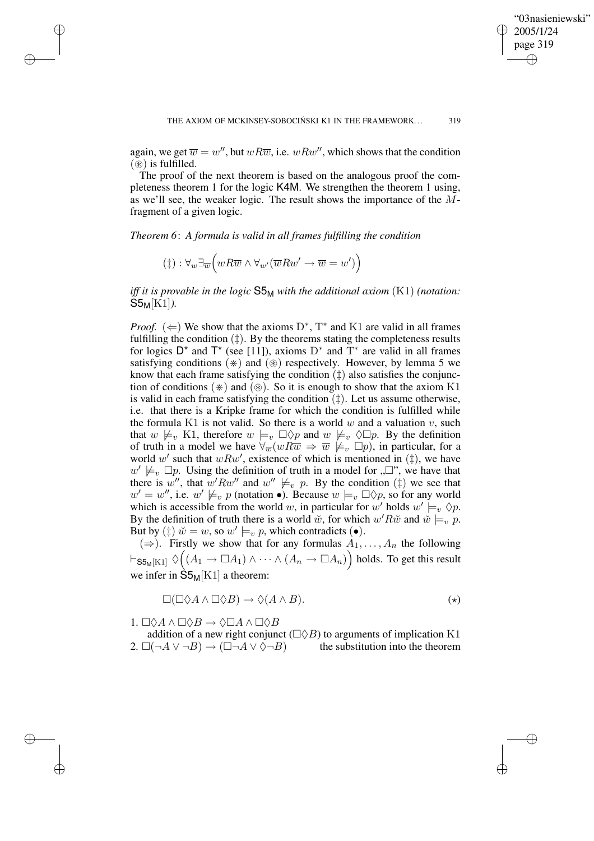✐

again, we get  $\overline{w} = w''$ , but  $wR\overline{w}$ , i.e.  $wRw''$ , which shows that the condition  $(\circledast)$  is fulfilled.

The proof of the next theorem is based on the analogous proof the completeness theorem 1 for the logic K4M. We strengthen the theorem 1 using, as we'll see, the weaker logic. The result shows the importance of the Mfragment of a given logic.

*Theorem 6*: *A formula is valid in all frames fulfilling the condition*

$$
(\ddagger) : \forall_w \exists_{\overline{w}} \Big( w R \overline{w} \land \forall_{w'} (\overline{w} R w' \to \overline{w} = w') \Big)
$$

✐

✐

✐

✐

*iff it is provable in the logic* S5<sup>M</sup> *with the additional axiom* (K1) *(notation:* S5M[K1]*).*

*Proof.* ( $\Leftarrow$ ) We show that the axioms D<sup>\*</sup>, T<sup>\*</sup> and K1 are valid in all frames fulfilling the condition  $(\ddagger)$ . By the theorems stating the completeness results for logics  $D^*$  and  $T^*$  (see [11]), axioms  $D^*$  and  $T^*$  are valid in all frames satisfying conditions  $(*)$  and  $(*)$  respectively. However, by lemma 5 we know that each frame satisfying the condition  $(\dagger)$  also satisfies the conjunction of conditions  $(*)$  and  $(*)$ . So it is enough to show that the axiom K1 is valid in each frame satisfying the condition  $(\ddagger)$ . Let us assume otherwise, i.e. that there is a Kripke frame for which the condition is fulfilled while the formula K1 is not valid. So there is a world  $w$  and a valuation  $v$ , such that  $w \not\models_v K1$ , therefore  $w \models_v \Box \Diamond p$  and  $w \not\models_v \Diamond \Box p$ . By the definition of truth in a model we have  $\forall \overline{w}(wR\overline{w} \Rightarrow \overline{w} \not\models_v \Box p)$ , in particular, for a world w' such that  $wRw'$ , existence of which is mentioned in  $(\ddagger)$ , we have  $w' \not\models_{v} \Box p$ . Using the definition of truth in a model for  $\Box$ , we have that there is  $w''$ , that  $w' R w''$  and  $w'' \not\models_v p$ . By the condition  $(\ddagger)$  we see that  $w' = w''$ , i.e.  $w' \not\models_{v} p$  (notation  $\bullet$ ). Because  $w \models_{v} \Box \Diamond p$ , so for any world which is accessible from the world w, in particular for w' holds  $w' \models_v \Diamond p$ . By the definition of truth there is a world w, for which w'Rw̆ and  $\psi \models_{v} P$ . But by ( $\ddagger$ )  $\ddot{w} = w$ , so  $w' \models_v p$ , which contradicts ( $\bullet$ ).

(⇒). Firstly we show that for any formulas  $A_1, \ldots, A_n$  the following  $\vdash_{\mathsf{S5}_\mathsf{M}[\mathrm{K1}]}\Diamond\Big((A_1\to \Box A_1)\wedge\cdots\wedge (A_n\to \Box A_n)\Big)$  holds. To get this result we infer in  $\hat{S}5_M[K1]$  a theorem:

$$
\Box(\Box \Diamond A \land \Box \Diamond B) \to \Diamond (A \land B). \tag{(*)}
$$

1.  $\Box \Diamond A \land \Box \Diamond B \to \Diamond \Box A \land \Box \Diamond B$ 

addition of a new right conjunct  $(\Box \Diamond B)$  to arguments of implication K1 2.  $\Box(\neg A \lor \neg B) \rightarrow (\Box \neg A \lor \Diamond \neg B)$  the substitution into the theorem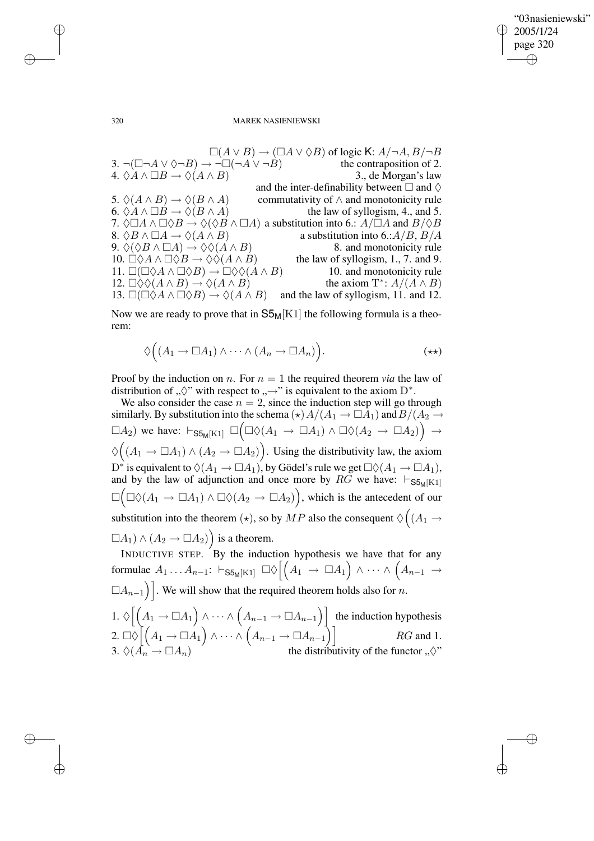"03nasieniewski" 2005/1/24 page 320  $\oplus$ ✐

✐

✐

#### 320 MAREK NASIENIEWSKI

 $\square(A \vee B) \rightarrow (\square A \vee \lozenge B)$  of logic K:  $A/\neg A, B/\neg B$ 3.  $\neg(\Box\neg A \vee \Diamond \neg B) \rightarrow \neg \Box(\neg A \vee \neg B)$  the contraposition of 2. 4.  $\Diamond A \land \Box B \rightarrow \Diamond (A \land B)$  3., de Morgan's law and the inter-definability between  $\Box$  and  $\diamond$ 5.  $\Diamond(A \land B) \rightarrow \Diamond(B \land A)$  commutativity of  $\land$  and monotonicity rule 6.  $\Diamond A \land \Box B \rightarrow \Diamond (B \land A)$  the law of syllogism, 4., and 5. 7.  $\Diamond \Box A \land \Box \Diamond B \to \Diamond (\Diamond B \land \Box A)$  a substitution into 6.:  $A/\Box A$  and  $B/\Diamond B$ 8.  $\Diamond B \land \Box A \rightarrow \Diamond (A \land B)$  a substitution into 6.:  $A/B$ ,  $B/A$ 9.  $\Diamond(\Diamond B \land \Box A) \rightarrow \Diamond \Diamond (A \land B)$  8. and monotonicity rule 10.  $\Box \Diamond A \land \Box \Diamond B \to \Diamond \Diamond (A \land B)$  the law of syllogism, 1., 7. and 9. 11.  $\square(\square \lozenge A \wedge \square \lozenge B) \rightarrow \square \lozenge \lozenge (A \wedge B)$  10. and monotonicity rule 12.  $\Box \Diamond \Diamond (A \land B) \rightarrow \Diamond (A \land B)$ \*:  $A/(A \wedge B)$ 13.  $\square(\square \lozenge A \wedge \square \lozenge B) \rightarrow \lozenge(A \wedge B)$  and the law of syllogism, 11. and 12.

Now we are ready to prove that in  $S5_M[K1]$  the following formula is a theorem:

$$
\Diamond \Big( (A_1 \to \Box A_1) \land \cdots \land (A_n \to \Box A_n) \Big).
$$
 (\*\*)

Proof by the induction on *n*. For  $n = 1$  the required theorem *via* the law of distribution of " $\Diamond$ " with respect to "→" is equivalent to the axiom D<sup>\*</sup>.

We also consider the case  $n = 2$ , since the induction step will go through similarly. By substitution into the schema ( $\star$ )  $A/(A_1 \rightarrow \Box A_1)$  and  $B/(A_2 \rightarrow \Box A_1)$  $\Box A_2$ ) we have:  $\vdash_{\mathsf{SS}_M[K1]} \Box \Big( \Box \Diamond (A_1 \rightarrow \Box A_1) \land \Box \Diamond (A_2 \rightarrow \Box A_2) \Big) \rightarrow$  $\Diamond ((A_1 \rightarrow \Box A_1) \land (A_2 \rightarrow \Box A_2)).$  Using the distributivity law, the axiom  $\mathrm{D}^*$  is equivalent to  $\Diamond(A_1 \to \Box A_1)$ , by Gödel's rule we get  $\Box \Diamond (A_1 \to \Box A_1)$ , and by the law of adjunction and once more by  $R\tilde{G}$  we have:  $\vdash_{\mathsf{S5M}[K1]}$  $\square ( \square \lozenge (A_1 \rightarrow \square A_1) \wedge \square \lozenge (A_2 \rightarrow \square A_2)),$  which is the antecedent of our substitution into the theorem  $(\star)$ , so by  $MP$  also the consequent  $\Diamond \big( (A_1 \rightarrow$  $\Box A_1) \wedge (A_2 \rightarrow \Box A_2)$  is a theorem.

INDUCTIVE STEP. By the induction hypothesis we have that for any formulae  $A_1 \dots A_{n-1}$ :  $\vdash_{\mathsf{S5}_\mathsf{M}[\mathrm{K1}]} \Box \Diamond \left[ \left( A_1 \rightarrow \Box A_1 \right) \land \cdots \land \left( A_{n-1} \rightarrow \cdots \right) \right]$  $\Box A_{n-1}$ ). We will show that the required theorem holds also for n. 1.  $\Diamond \left[ \left( A_1 \rightarrow \Box A_1 \right) \land \cdots \land \left( A_{n-1} \rightarrow \Box A_{n-1} \right) \right]$  the induction hypothesis  $2. \Box \Diamond \big[ \big( A_1 \to \Box A_1 \big) \wedge \cdots \wedge \big( A_{n-1} \to \Box A_{n-1} \big) \big]$   $RG \text{ and } 1.$ 3.  $\Diamond(\overrightarrow{A}_n \rightarrow \Box A_n)$  the distributivity of the functor  $\Box, \Diamond$ "

✐

✐

✐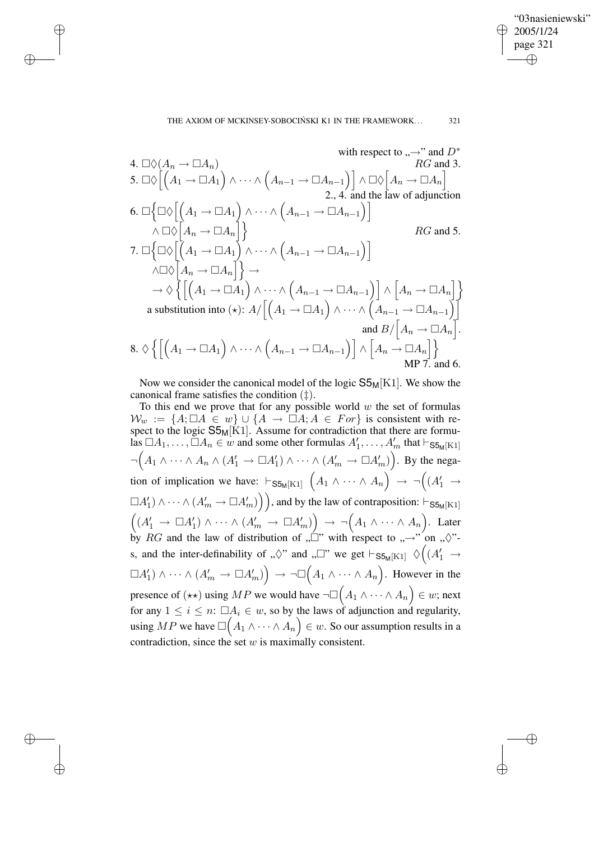"03nasieniewski" 2005/1/24 page 321 ✐ ✐

✐

✐

✐

✐

✐

✐

with respect to 
$$
_{n}\rightarrow
$$
 and  $D^{*}$   
\n4.  $\Box \Diamond (A_{n} \rightarrow \Box A_{n})$   
\n5.  $\Box \Diamond \Big[ (A_{1} \rightarrow \Box A_{1}) \land \cdots \land (A_{n-1} \rightarrow \Box A_{n-1}) \Big] \land \Box \Diamond \Big[ A_{n} \rightarrow \Box A_{n} \Big]$   
\n6.  $\Box \Big\{ \Box \Diamond \Big[ (A_{1} \rightarrow \Box A_{1}) \land \cdots \land (A_{n-1} \rightarrow \Box A_{n-1}) \Big] \land \Box \Diamond \Big[ A_{n} \rightarrow \Box A_{n} \Big] \Big\}$   
\n7.  $\Box \Big\{ \Box \Diamond \Big[ (A_{1} \rightarrow \Box A_{1}) \land \cdots \land (A_{n-1} \rightarrow \Box A_{n-1}) \Big] \land \Box \Diamond \Big[ A_{n} \rightarrow \Box A_{n} \Big] \Big\}$   
\n $\land \Box \Diamond \Big[ A_{n} \rightarrow \Box A_{n} \Big] \Big\} \rightarrow$   
\n $\rightarrow \Diamond \Big\{ \Big[ (A_{1} \rightarrow \Box A_{1}) \land \cdots \land (A_{n-1} \rightarrow \Box A_{n-1}) \Big] \land \Big[ A_{n} \rightarrow \Box A_{n} \Big] \Big\}$   
\na substitution into  $(\star): A/ \Big[ (A_{1} \rightarrow \Box A_{1}) \land \cdots \land (A_{n-1} \rightarrow \Box A_{n-1}) \Big]$   
\nand  $B/ \Big[ A_{n} \rightarrow \Box A_{n} \Big]$ .  
\n8.  $\Diamond \Big\{ \Big[ (A_{1} \rightarrow \Box A_{1}) \land \cdots \land (A_{n-1} \rightarrow \Box A_{n-1}) \Big] \land \Big[ A_{n} \rightarrow \Box A_{n} \Big] \Big\}$   
\n8.  $\Diamond \Big\{ \Big[ (A_{1} \rightarrow \Box A_{1}) \land \cdots \land (A_{n-1} \rightarrow \Box A_{n-1}) \Big] \land \Big[ A_{n} \rightarrow \Box A_{n} \Big] \Big\}$   
\n9.  $\Box$ 

Now we consider the canonical model of the logic  $S5<sub>M</sub>[K1]$ . We show the canonical frame satisfies the condition (‡).

To this end we prove that for any possible world  $w$  the set of formulas  $\mathcal{W}_w := \{A; \Box A \in w\} \cup \{A \rightarrow \Box A; A \in For\}$  is consistent with respect to the logic  $S5_M[K1]$ . Assume for contradiction that there are formulas  $\Box A_1, \ldots, \Box A_n \in w$  and some other formulas  $A'_1, \ldots, A'_m$  that  $\vdash_{\mathsf{S5}_M[K1]}$  $\neg \left(A_1 \wedge \cdots \wedge A_n \wedge (A'_1 \rightarrow \Box A'_1) \wedge \cdots \wedge (A'_m \rightarrow \Box A'_m)\right)$ . By the negation of implication we have:  $\vdash_{\mathsf{SS}_M[K1]}(A_1 \land \cdots \land A_n) \rightarrow \neg((A'_1 \rightarrow$  $\Box A_1'$ )  $\land \cdots \land (A_m' \to \Box A_m')$ ), and by the law of contraposition:  $\vdash_{\text{SS}_M[K1]}$  $((A'_1 \rightarrow \Box A'_1) \land \cdots \land (A'_m \rightarrow \Box A'_m)) \rightarrow \neg (A_1 \land \cdots \land A_n)$ . Later by RG and the law of distribution of " $\Box$ " with respect to " $\rightarrow$ " on " $\diamond$ "s, and the inter-definability of " $\Diamond$ " and " $\square$ " we get  $\vdash_{SS_M[K1]} \Diamond \Big( (A'_1 \rightarrow$  $\Box A_1' \cap \Diamond \cdots \land (A_m' \to \Box A_m') \Big) \to \neg \Box \Big( A_1 \land \cdots \land A_n \Big)$ . However in the presence of  $(\star \star)$  using  $MP$  we would have  $\neg\Box \Big( A_1 \wedge \cdots \wedge A_n \Big) \in w;$  next for any  $1 \leq i \leq n$ :  $\Box A_i \in w$ , so by the laws of adjunction and regularity, using  $MP$  we have  $\square\Big(A_1\wedge\dots\wedge A_n\Big)\in w.$  So our assumption results in a contradiction, since the set  $w$  is maximally consistent.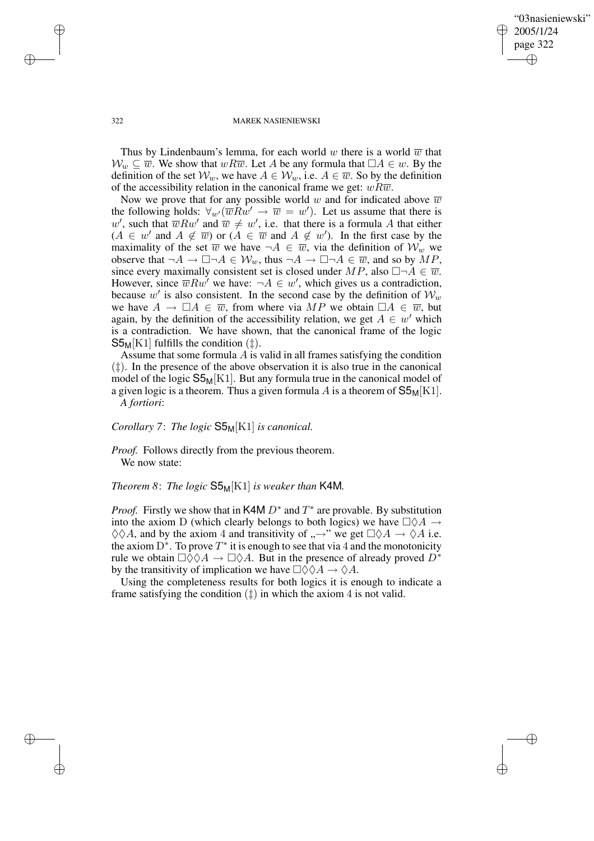✐

#### 322 MAREK NASIENIEWSKI

Thus by Lindenbaum's lemma, for each world w there is a world  $\overline{w}$  that  $W_w \subseteq \overline{w}$ . We show that  $wR\overline{w}$ . Let A be any formula that  $\Box A \in w$ . By the definition of the set  $\mathcal{W}_w$ , we have  $A \in \mathcal{W}_w$ , i.e.  $A \in \overline{w}$ . So by the definition of the accessibility relation in the canonical frame we get:  $wR\overline{w}$ .

Now we prove that for any possible world w and for indicated above  $\overline{w}$ the following holds:  $\forall_{w'}(\overline{w}Rw' \rightarrow \overline{w} = w')$ . Let us assume that there is w', such that  $\overline{w}Rw'$  and  $\overline{w} \neq w'$ , i.e. that there is a formula A that either  $(A \in w'$  and  $A \notin \overline{w}$  or  $(A \in \overline{w}$  and  $A \notin w'$ ). In the first case by the maximality of the set  $\overline{w}$  we have  $\neg A \in \overline{w}$ , via the definition of  $\mathcal{W}_w$  we observe that  $\neg A \rightarrow \Box \neg A \in W_w$ , thus  $\neg A \rightarrow \Box \neg A \in \overline{w}$ , and so by MP, since every maximally consistent set is closed under  $MP$ , also  $\Box\neg A \in \overline{w}$ . However, since  $\overline{w}Rw'$  we have:  $\neg A \in w'$ , which gives us a contradiction, because w' is also consistent. In the second case by the definition of  $W_w$ we have  $A \to \Box A \in \overline{w}$ , from where via MP we obtain  $\Box A \in \overline{w}$ , but again, by the definition of the accessibility relation, we get  $A \in w'$  which is a contradiction. We have shown, that the canonical frame of the logic  $S5<sub>M</sub>[K1]$  fulfills the condition ( $\ddagger$ ).

Assume that some formula  $A$  is valid in all frames satisfying the condition (‡). In the presence of the above observation it is also true in the canonical model of the logic  $S5<sub>M</sub>[K1]$ . But any formula true in the canonical model of a given logic is a theorem. Thus a given formula A is a theorem of  $S5<sub>M</sub>[K1]$ . *A fortiori*:

*Corollary 7*: *The logic* S5M[K1] *is canonical.*

*Proof.* Follows directly from the previous theorem. We now state:

*Theorem 8*: *The logic* S5M[K1] *is weaker than* K4M*.*

*Proof.* Firstly we show that in K4M  $D^*$  and  $T^*$  are provable. By substitution into the axiom D (which clearly belongs to both logics) we have  $\Box \Diamond A \rightarrow$  $\Diamond \Diamond A$ , and by the axiom 4 and transitivity of  $, \rightarrow$ " we get  $\Box \Diamond A \rightarrow \Diamond A$  i.e. the axiom  $D^*$ . To prove  $T^*$  it is enough to see that via 4 and the monotonicity rule we obtain  $\Box \Diamond \Diamond A \rightarrow \Box \Diamond A$ . But in the presence of already proved  $D^*$ by the transitivity of implication we have  $\Box \Diamond \Diamond A \rightarrow \Diamond A$ .

Using the completeness results for both logics it is enough to indicate a frame satisfying the condition  $(\ddagger)$  in which the axiom 4 is not valid.

✐

✐

✐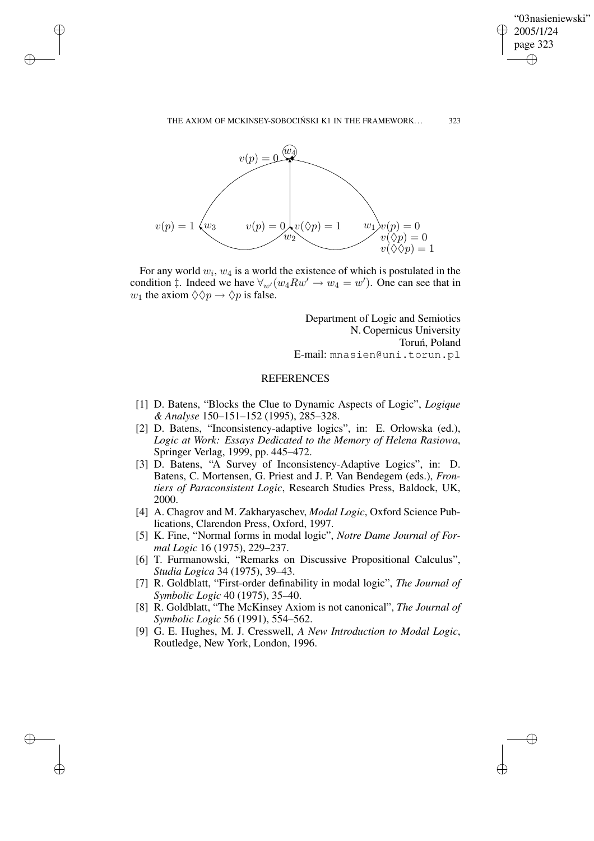✐

#### THE AXIOM OF MCKINSEY-SOBOCIŃSKI K1 IN THE FRAMEWORK... 323



✐

✐

✐

✐

For any world  $w_i$ ,  $w_4$  is a world the existence of which is postulated in the condition  $\ddagger$ . Indeed we have  $\forall_{w}(w_4 R w' \rightarrow w_4 = w')$ . One can see that in  $w_1$  the axiom  $\Diamond \Diamond p \rightarrow \Diamond p$  is false.

> Department of Logic and Semiotics N. Copernicus University Toruń, Poland E-mail: mnasien@uni.torun.pl

## **REFERENCES**

- [1] D. Batens, "Blocks the Clue to Dynamic Aspects of Logic", *Logique & Analyse* 150–151–152 (1995), 285–328.
- [2] D. Batens, "Inconsistency-adaptive logics", in: E. Orłowska (ed.), *Logic at Work: Essays Dedicated to the Memory of Helena Rasiowa*, Springer Verlag, 1999, pp. 445–472.
- [3] D. Batens, "A Survey of Inconsistency-Adaptive Logics", in: D. Batens, C. Mortensen, G. Priest and J. P. Van Bendegem (eds.), *Frontiers of Paraconsistent Logic*, Research Studies Press, Baldock, UK, 2000.
- [4] A. Chagrov and M. Zakharyaschev, *Modal Logic*, Oxford Science Publications, Clarendon Press, Oxford, 1997.
- [5] K. Fine, "Normal forms in modal logic", *Notre Dame Journal of Formal Logic* 16 (1975), 229–237.
- [6] T. Furmanowski, "Remarks on Discussive Propositional Calculus", *Studia Logica* 34 (1975), 39–43.
- [7] R. Goldblatt, "First-order definability in modal logic", *The Journal of Symbolic Logic* 40 (1975), 35–40.
- [8] R. Goldblatt, "The McKinsey Axiom is not canonical", *The Journal of Symbolic Logic* 56 (1991), 554–562.
- [9] G. E. Hughes, M. J. Cresswell, *A New Introduction to Modal Logic*, Routledge, New York, London, 1996.